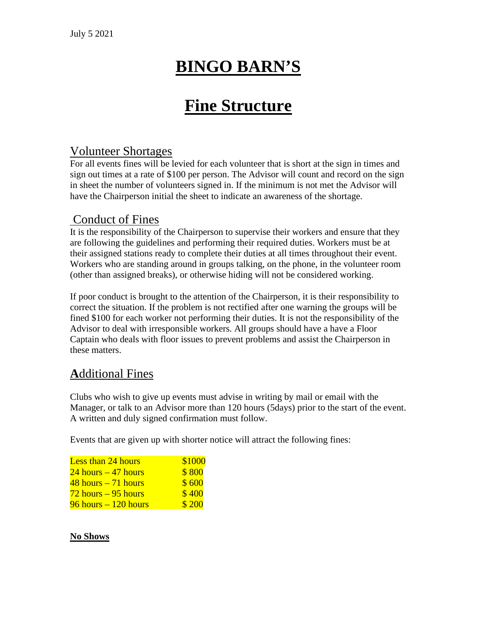# **BINGO BARN'S**

# **Fine Structure**

### Volunteer Shortages

For all events fines will be levied for each volunteer that is short at the sign in times and sign out times at a rate of \$100 per person. The Advisor will count and record on the sign in sheet the number of volunteers signed in. If the minimum is not met the Advisor will have the Chairperson initial the sheet to indicate an awareness of the shortage.

### Conduct of Fines

It is the responsibility of the Chairperson to supervise their workers and ensure that they are following the guidelines and performing their required duties. Workers must be at their assigned stations ready to complete their duties at all times throughout their event. Workers who are standing around in groups talking, on the phone, in the volunteer room (other than assigned breaks), or otherwise hiding will not be considered working.

If poor conduct is brought to the attention of the Chairperson, it is their responsibility to correct the situation. If the problem is not rectified after one warning the groups will be fined \$100 for each worker not performing their duties. It is not the responsibility of the Advisor to deal with irresponsible workers. All groups should have a have a Floor Captain who deals with floor issues to prevent problems and assist the Chairperson in these matters.

## **A**dditional Fines

Clubs who wish to give up events must advise in writing by mail or email with the Manager, or talk to an Advisor more than 120 hours (5days) prior to the start of the event. A written and duly signed confirmation must follow.

Events that are given up with shorter notice will attract the following fines:

| <b>Less than 24 hours</b> | \$1000 |
|---------------------------|--------|
| $24$ hours $-47$ hours    | \$800  |
| $48$ hours $-71$ hours    | \$600  |
| $72$ hours $-95$ hours    | \$400  |
| $96$ hours $-120$ hours   | \$200  |

#### **No Shows**